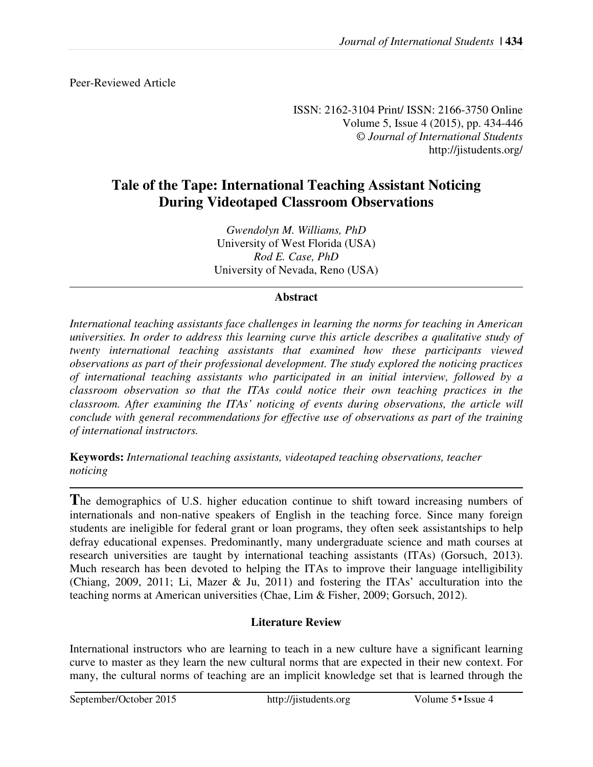Peer-Reviewed Article

ISSN: 2162-3104 Print/ ISSN: 2166-3750 Online Volume 5, Issue 4 (2015), pp. 434-446 © *Journal of International Students* http://jistudents.org/

# **Tale of the Tape: International Teaching Assistant Noticing During Videotaped Classroom Observations**

*Gwendolyn M. Williams, PhD*  University of West Florida (USA) *Rod E. Case, PhD*  University of Nevada, Reno (USA)

## **Abstract**

*International teaching assistants face challenges in learning the norms for teaching in American universities. In order to address this learning curve this article describes a qualitative study of twenty international teaching assistants that examined how these participants viewed observations as part of their professional development. The study explored the noticing practices of international teaching assistants who participated in an initial interview, followed by a classroom observation so that the ITAs could notice their own teaching practices in the classroom. After examining the ITAs' noticing of events during observations, the article will conclude with general recommendations for effective use of observations as part of the training of international instructors.* 

**Keywords:** *International teaching assistants, videotaped teaching observations, teacher noticing* 

**T**he demographics of U.S. higher education continue to shift toward increasing numbers of internationals and non-native speakers of English in the teaching force. Since many foreign students are ineligible for federal grant or loan programs, they often seek assistantships to help defray educational expenses. Predominantly, many undergraduate science and math courses at research universities are taught by international teaching assistants (ITAs) (Gorsuch, 2013). Much research has been devoted to helping the ITAs to improve their language intelligibility (Chiang, 2009, 2011; Li, Mazer & Ju, 2011) and fostering the ITAs' acculturation into the teaching norms at American universities (Chae, Lim & Fisher, 2009; Gorsuch, 2012).

## **Literature Review**

International instructors who are learning to teach in a new culture have a significant learning curve to master as they learn the new cultural norms that are expected in their new context. For many, the cultural norms of teaching are an implicit knowledge set that is learned through the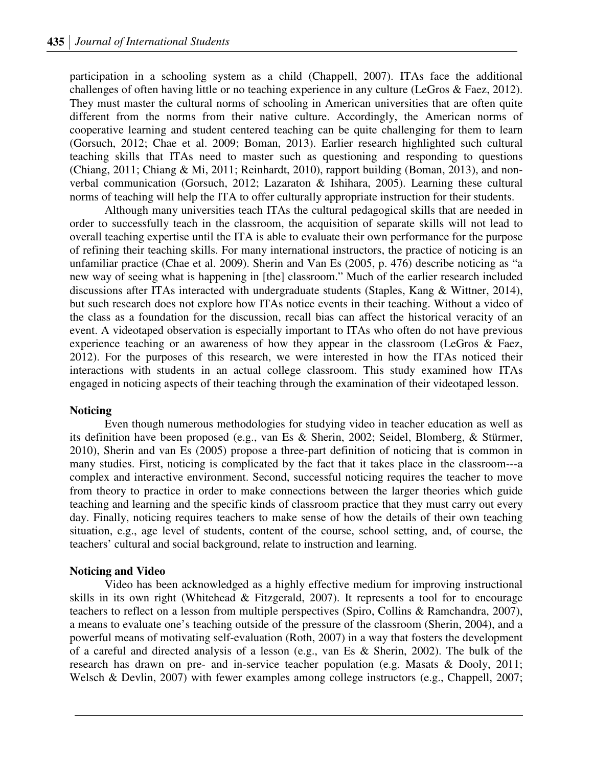participation in a schooling system as a child (Chappell, 2007). ITAs face the additional challenges of often having little or no teaching experience in any culture (LeGros & Faez, 2012). They must master the cultural norms of schooling in American universities that are often quite different from the norms from their native culture. Accordingly, the American norms of cooperative learning and student centered teaching can be quite challenging for them to learn (Gorsuch, 2012; Chae et al. 2009; Boman, 2013). Earlier research highlighted such cultural teaching skills that ITAs need to master such as questioning and responding to questions (Chiang, 2011; Chiang & Mi, 2011; Reinhardt, 2010), rapport building (Boman, 2013), and nonverbal communication (Gorsuch, 2012; Lazaraton & Ishihara, 2005). Learning these cultural norms of teaching will help the ITA to offer culturally appropriate instruction for their students.

Although many universities teach ITAs the cultural pedagogical skills that are needed in order to successfully teach in the classroom, the acquisition of separate skills will not lead to overall teaching expertise until the ITA is able to evaluate their own performance for the purpose of refining their teaching skills. For many international instructors, the practice of noticing is an unfamiliar practice (Chae et al. 2009). Sherin and Van Es (2005, p. 476) describe noticing as "a new way of seeing what is happening in [the] classroom." Much of the earlier research included discussions after ITAs interacted with undergraduate students (Staples, Kang & Wittner, 2014), but such research does not explore how ITAs notice events in their teaching. Without a video of the class as a foundation for the discussion, recall bias can affect the historical veracity of an event. A videotaped observation is especially important to ITAs who often do not have previous experience teaching or an awareness of how they appear in the classroom (LeGros & Faez, 2012). For the purposes of this research, we were interested in how the ITAs noticed their interactions with students in an actual college classroom. This study examined how ITAs engaged in noticing aspects of their teaching through the examination of their videotaped lesson.

### **Noticing**

Even though numerous methodologies for studying video in teacher education as well as its definition have been proposed (e.g., van Es & Sherin, 2002; Seidel, Blomberg, & Stürmer, 2010), Sherin and van Es (2005) propose a three-part definition of noticing that is common in many studies. First, noticing is complicated by the fact that it takes place in the classroom---a complex and interactive environment. Second, successful noticing requires the teacher to move from theory to practice in order to make connections between the larger theories which guide teaching and learning and the specific kinds of classroom practice that they must carry out every day. Finally, noticing requires teachers to make sense of how the details of their own teaching situation, e.g., age level of students, content of the course, school setting, and, of course, the teachers' cultural and social background, relate to instruction and learning.

### **Noticing and Video**

Video has been acknowledged as a highly effective medium for improving instructional skills in its own right (Whitehead & Fitzgerald, 2007). It represents a tool for to encourage teachers to reflect on a lesson from multiple perspectives (Spiro, Collins & Ramchandra, 2007), a means to evaluate one's teaching outside of the pressure of the classroom (Sherin, 2004), and a powerful means of motivating self-evaluation (Roth, 2007) in a way that fosters the development of a careful and directed analysis of a lesson (e.g., van Es & Sherin, 2002). The bulk of the research has drawn on pre- and in-service teacher population (e.g. Masats & Dooly, 2011; Welsch & Devlin, 2007) with fewer examples among college instructors (e.g., Chappell, 2007;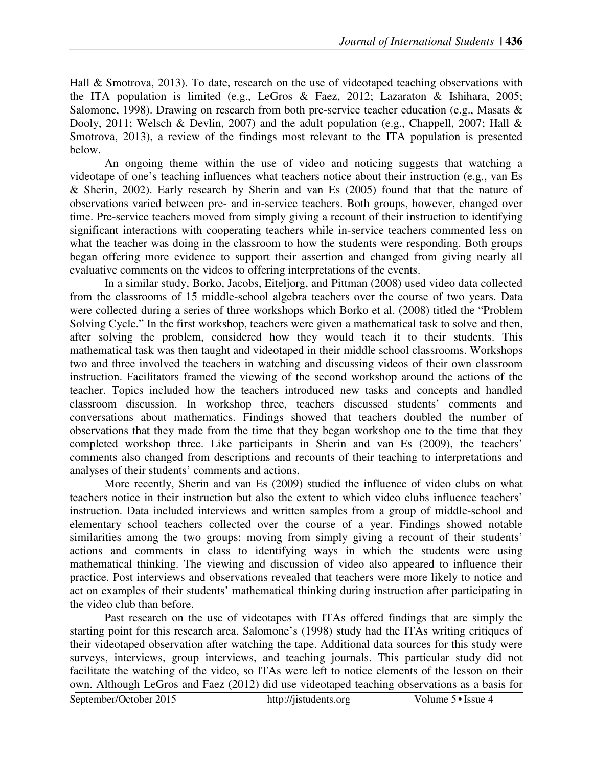Hall & Smotrova, 2013). To date, research on the use of videotaped teaching observations with the ITA population is limited (e.g., LeGros & Faez, 2012; Lazaraton & Ishihara, 2005; Salomone, 1998). Drawing on research from both pre-service teacher education (e.g., Masats & Dooly, 2011; Welsch & Devlin, 2007) and the adult population (e.g., Chappell, 2007; Hall & Smotrova, 2013), a review of the findings most relevant to the ITA population is presented below.

An ongoing theme within the use of video and noticing suggests that watching a videotape of one's teaching influences what teachers notice about their instruction (e.g., van Es & Sherin, 2002). Early research by Sherin and van Es (2005) found that that the nature of observations varied between pre- and in-service teachers. Both groups, however, changed over time. Pre-service teachers moved from simply giving a recount of their instruction to identifying significant interactions with cooperating teachers while in-service teachers commented less on what the teacher was doing in the classroom to how the students were responding. Both groups began offering more evidence to support their assertion and changed from giving nearly all evaluative comments on the videos to offering interpretations of the events.

In a similar study, Borko, Jacobs, Eiteljorg, and Pittman (2008) used video data collected from the classrooms of 15 middle-school algebra teachers over the course of two years. Data were collected during a series of three workshops which Borko et al. (2008) titled the "Problem Solving Cycle." In the first workshop, teachers were given a mathematical task to solve and then, after solving the problem, considered how they would teach it to their students. This mathematical task was then taught and videotaped in their middle school classrooms. Workshops two and three involved the teachers in watching and discussing videos of their own classroom instruction. Facilitators framed the viewing of the second workshop around the actions of the teacher. Topics included how the teachers introduced new tasks and concepts and handled classroom discussion. In workshop three, teachers discussed students' comments and conversations about mathematics. Findings showed that teachers doubled the number of observations that they made from the time that they began workshop one to the time that they completed workshop three. Like participants in Sherin and van Es (2009), the teachers' comments also changed from descriptions and recounts of their teaching to interpretations and analyses of their students' comments and actions.

More recently, Sherin and van Es (2009) studied the influence of video clubs on what teachers notice in their instruction but also the extent to which video clubs influence teachers' instruction. Data included interviews and written samples from a group of middle-school and elementary school teachers collected over the course of a year. Findings showed notable similarities among the two groups: moving from simply giving a recount of their students' actions and comments in class to identifying ways in which the students were using mathematical thinking. The viewing and discussion of video also appeared to influence their practice. Post interviews and observations revealed that teachers were more likely to notice and act on examples of their students' mathematical thinking during instruction after participating in the video club than before.

September/October 2015 http://jistudents.org Volume 5 • Issue 4 Past research on the use of videotapes with ITAs offered findings that are simply the starting point for this research area. Salomone's (1998) study had the ITAs writing critiques of their videotaped observation after watching the tape. Additional data sources for this study were surveys, interviews, group interviews, and teaching journals. This particular study did not facilitate the watching of the video, so ITAs were left to notice elements of the lesson on their own. Although LeGros and Faez (2012) did use videotaped teaching observations as a basis for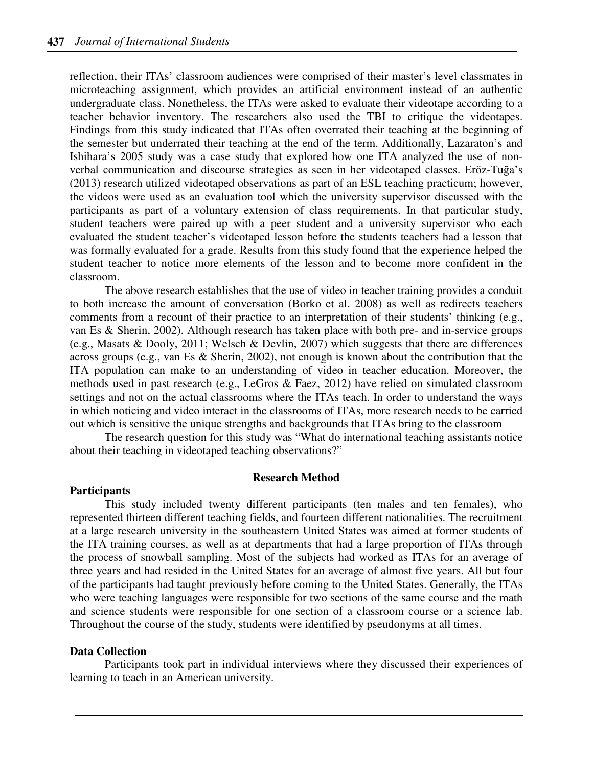reflection, their ITAs' classroom audiences were comprised of their master's level classmates in microteaching assignment, which provides an artificial environment instead of an authentic undergraduate class. Nonetheless, the ITAs were asked to evaluate their videotape according to a teacher behavior inventory. The researchers also used the TBI to critique the videotapes. Findings from this study indicated that ITAs often overrated their teaching at the beginning of the semester but underrated their teaching at the end of the term. Additionally, Lazaraton's and Ishihara's 2005 study was a case study that explored how one ITA analyzed the use of nonverbal communication and discourse strategies as seen in her videotaped classes. Eröz-Tuğa's (2013) research utilized videotaped observations as part of an ESL teaching practicum; however, the videos were used as an evaluation tool which the university supervisor discussed with the participants as part of a voluntary extension of class requirements. In that particular study, student teachers were paired up with a peer student and a university supervisor who each evaluated the student teacher's videotaped lesson before the students teachers had a lesson that was formally evaluated for a grade. Results from this study found that the experience helped the student teacher to notice more elements of the lesson and to become more confident in the classroom.

The above research establishes that the use of video in teacher training provides a conduit to both increase the amount of conversation (Borko et al. 2008) as well as redirects teachers comments from a recount of their practice to an interpretation of their students' thinking (e.g., van Es & Sherin, 2002). Although research has taken place with both pre- and in-service groups (e.g., Masats & Dooly, 2011; Welsch & Devlin, 2007) which suggests that there are differences across groups (e.g., van Es & Sherin, 2002), not enough is known about the contribution that the ITA population can make to an understanding of video in teacher education. Moreover, the methods used in past research (e.g., LeGros & Faez, 2012) have relied on simulated classroom settings and not on the actual classrooms where the ITAs teach. In order to understand the ways in which noticing and video interact in the classrooms of ITAs, more research needs to be carried out which is sensitive the unique strengths and backgrounds that ITAs bring to the classroom

The research question for this study was "What do international teaching assistants notice about their teaching in videotaped teaching observations?"

#### **Research Method**

#### **Participants**

This study included twenty different participants (ten males and ten females), who represented thirteen different teaching fields, and fourteen different nationalities. The recruitment at a large research university in the southeastern United States was aimed at former students of the ITA training courses, as well as at departments that had a large proportion of ITAs through the process of snowball sampling. Most of the subjects had worked as ITAs for an average of three years and had resided in the United States for an average of almost five years. All but four of the participants had taught previously before coming to the United States. Generally, the ITAs who were teaching languages were responsible for two sections of the same course and the math and science students were responsible for one section of a classroom course or a science lab. Throughout the course of the study, students were identified by pseudonyms at all times.

#### **Data Collection**

Participants took part in individual interviews where they discussed their experiences of learning to teach in an American university.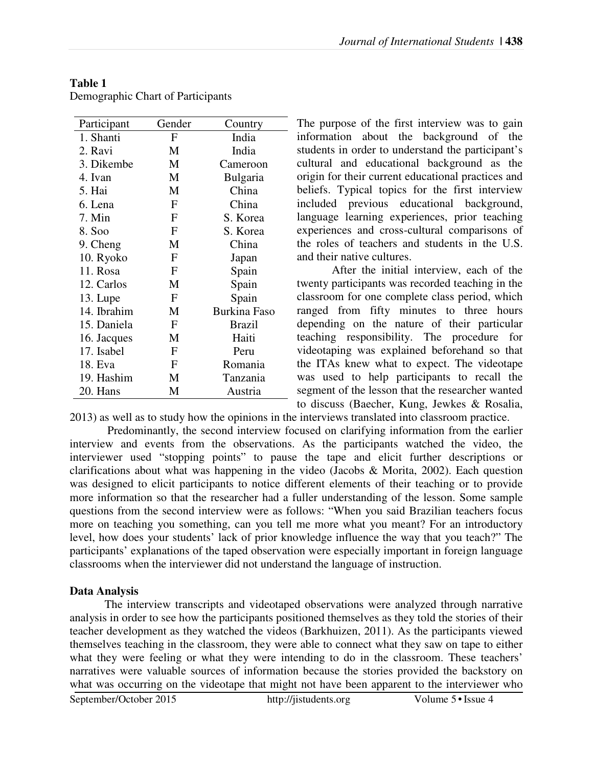| Participant | Gender           | Country             |
|-------------|------------------|---------------------|
| 1. Shanti   | F                | India               |
| 2. Ravi     | M                | India               |
| 3. Dikembe  | M                | Cameroon            |
| 4. Ivan     | M                | Bulgaria            |
| 5. Hai      | M                | China               |
| 6. Lena     | F                | China               |
| 7. Min      | F                | S. Korea            |
| 8. Soo      | F                | S. Korea            |
| 9. Cheng    | M                | China               |
| 10. Ryoko   | F                | Japan               |
| 11. Rosa    | F                | Spain               |
| 12. Carlos  | M                | Spain               |
| 13. Lupe    | F                | Spain               |
| 14. Ibrahim | M                | <b>Burkina Faso</b> |
| 15. Daniela | $\boldsymbol{F}$ | <b>Brazil</b>       |
| 16. Jacques | M                | Haiti               |
| 17. Isabel  | F                | Peru                |
| 18. Eva     | F                | Romania             |
| 19. Hashim  | M                | Tanzania            |
| 20. Hans    | М                | Austria             |

## **Table 1**

Demographic Chart of Participants

The purpose of the first interview was to gain information about the background of the students in order to understand the participant's cultural and educational background as the origin for their current educational practices and beliefs. Typical topics for the first interview included previous educational background, language learning experiences, prior teaching experiences and cross-cultural comparisons of the roles of teachers and students in the U.S. and their native cultures.

After the initial interview, each of the twenty participants was recorded teaching in the classroom for one complete class period, which ranged from fifty minutes to three hours depending on the nature of their particular teaching responsibility. The procedure for videotaping was explained beforehand so that the ITAs knew what to expect. The videotape was used to help participants to recall the segment of the lesson that the researcher wanted to discuss (Baecher, Kung, Jewkes & Rosalia,

2013) as well as to study how the opinions in the interviews translated into classroom practice.

 Predominantly, the second interview focused on clarifying information from the earlier interview and events from the observations. As the participants watched the video, the interviewer used "stopping points" to pause the tape and elicit further descriptions or clarifications about what was happening in the video (Jacobs & Morita, 2002). Each question was designed to elicit participants to notice different elements of their teaching or to provide more information so that the researcher had a fuller understanding of the lesson. Some sample questions from the second interview were as follows: "When you said Brazilian teachers focus more on teaching you something, can you tell me more what you meant? For an introductory level, how does your students' lack of prior knowledge influence the way that you teach?" The participants' explanations of the taped observation were especially important in foreign language classrooms when the interviewer did not understand the language of instruction.

## **Data Analysis**

September/October 2015 http://jistudents.org Volume 5 • Issue 4 The interview transcripts and videotaped observations were analyzed through narrative analysis in order to see how the participants positioned themselves as they told the stories of their teacher development as they watched the videos (Barkhuizen, 2011). As the participants viewed themselves teaching in the classroom, they were able to connect what they saw on tape to either what they were feeling or what they were intending to do in the classroom. These teachers' narratives were valuable sources of information because the stories provided the backstory on what was occurring on the videotape that might not have been apparent to the interviewer who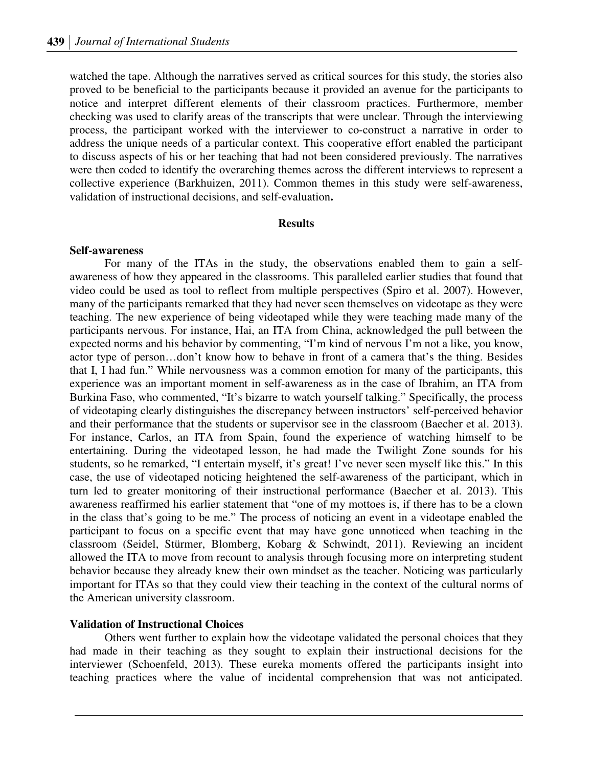watched the tape. Although the narratives served as critical sources for this study, the stories also proved to be beneficial to the participants because it provided an avenue for the participants to notice and interpret different elements of their classroom practices. Furthermore, member checking was used to clarify areas of the transcripts that were unclear. Through the interviewing process, the participant worked with the interviewer to co-construct a narrative in order to address the unique needs of a particular context. This cooperative effort enabled the participant to discuss aspects of his or her teaching that had not been considered previously. The narratives were then coded to identify the overarching themes across the different interviews to represent a collective experience (Barkhuizen, 2011). Common themes in this study were self-awareness, validation of instructional decisions, and self-evaluation**.** 

#### **Results**

#### **Self-awareness**

For many of the ITAs in the study, the observations enabled them to gain a selfawareness of how they appeared in the classrooms. This paralleled earlier studies that found that video could be used as tool to reflect from multiple perspectives (Spiro et al. 2007). However, many of the participants remarked that they had never seen themselves on videotape as they were teaching. The new experience of being videotaped while they were teaching made many of the participants nervous. For instance, Hai, an ITA from China, acknowledged the pull between the expected norms and his behavior by commenting, "I'm kind of nervous I'm not a like, you know, actor type of person…don't know how to behave in front of a camera that's the thing. Besides that I, I had fun." While nervousness was a common emotion for many of the participants, this experience was an important moment in self-awareness as in the case of Ibrahim, an ITA from Burkina Faso, who commented, "It's bizarre to watch yourself talking." Specifically, the process of videotaping clearly distinguishes the discrepancy between instructors' self-perceived behavior and their performance that the students or supervisor see in the classroom (Baecher et al. 2013). For instance, Carlos, an ITA from Spain, found the experience of watching himself to be entertaining. During the videotaped lesson, he had made the Twilight Zone sounds for his students, so he remarked, "I entertain myself, it's great! I've never seen myself like this." In this case, the use of videotaped noticing heightened the self-awareness of the participant, which in turn led to greater monitoring of their instructional performance (Baecher et al. 2013). This awareness reaffirmed his earlier statement that "one of my mottoes is, if there has to be a clown in the class that's going to be me." The process of noticing an event in a videotape enabled the participant to focus on a specific event that may have gone unnoticed when teaching in the classroom (Seidel, Stürmer, Blomberg, Kobarg & Schwindt, 2011). Reviewing an incident allowed the ITA to move from recount to analysis through focusing more on interpreting student behavior because they already knew their own mindset as the teacher. Noticing was particularly important for ITAs so that they could view their teaching in the context of the cultural norms of the American university classroom.

#### **Validation of Instructional Choices**

Others went further to explain how the videotape validated the personal choices that they had made in their teaching as they sought to explain their instructional decisions for the interviewer (Schoenfeld, 2013). These eureka moments offered the participants insight into teaching practices where the value of incidental comprehension that was not anticipated.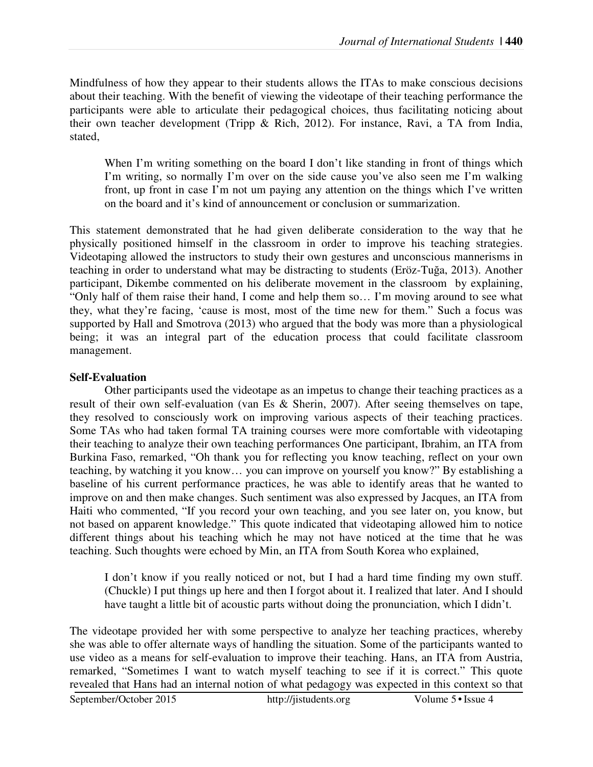Mindfulness of how they appear to their students allows the ITAs to make conscious decisions about their teaching. With the benefit of viewing the videotape of their teaching performance the participants were able to articulate their pedagogical choices, thus facilitating noticing about their own teacher development (Tripp & Rich, 2012). For instance, Ravi, a TA from India, stated,

When I'm writing something on the board I don't like standing in front of things which I'm writing, so normally I'm over on the side cause you've also seen me I'm walking front, up front in case I'm not um paying any attention on the things which I've written on the board and it's kind of announcement or conclusion or summarization.

This statement demonstrated that he had given deliberate consideration to the way that he physically positioned himself in the classroom in order to improve his teaching strategies. Videotaping allowed the instructors to study their own gestures and unconscious mannerisms in teaching in order to understand what may be distracting to students (Eröz-Tuğa, 2013). Another participant, Dikembe commented on his deliberate movement in the classroom by explaining, "Only half of them raise their hand, I come and help them so… I'm moving around to see what they, what they're facing, 'cause is most, most of the time new for them." Such a focus was supported by Hall and Smotrova (2013) who argued that the body was more than a physiological being; it was an integral part of the education process that could facilitate classroom management.

## **Self-Evaluation**

Other participants used the videotape as an impetus to change their teaching practices as a result of their own self-evaluation (van Es & Sherin, 2007). After seeing themselves on tape, they resolved to consciously work on improving various aspects of their teaching practices. Some TAs who had taken formal TA training courses were more comfortable with videotaping their teaching to analyze their own teaching performances One participant, Ibrahim, an ITA from Burkina Faso, remarked, "Oh thank you for reflecting you know teaching, reflect on your own teaching, by watching it you know… you can improve on yourself you know?" By establishing a baseline of his current performance practices, he was able to identify areas that he wanted to improve on and then make changes. Such sentiment was also expressed by Jacques, an ITA from Haiti who commented, "If you record your own teaching, and you see later on, you know, but not based on apparent knowledge." This quote indicated that videotaping allowed him to notice different things about his teaching which he may not have noticed at the time that he was teaching. Such thoughts were echoed by Min, an ITA from South Korea who explained,

I don't know if you really noticed or not, but I had a hard time finding my own stuff. (Chuckle) I put things up here and then I forgot about it. I realized that later. And I should have taught a little bit of acoustic parts without doing the pronunciation, which I didn't.

September/October 2015 http://jistudents.org Volume 5•Issue 4 The videotape provided her with some perspective to analyze her teaching practices, whereby she was able to offer alternate ways of handling the situation. Some of the participants wanted to use video as a means for self-evaluation to improve their teaching. Hans, an ITA from Austria, remarked, "Sometimes I want to watch myself teaching to see if it is correct." This quote revealed that Hans had an internal notion of what pedagogy was expected in this context so that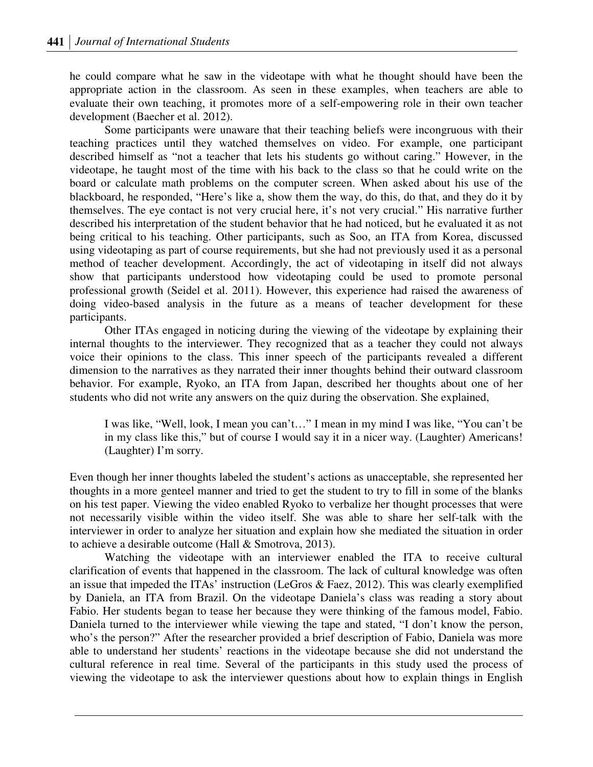he could compare what he saw in the videotape with what he thought should have been the appropriate action in the classroom. As seen in these examples, when teachers are able to evaluate their own teaching, it promotes more of a self-empowering role in their own teacher development (Baecher et al. 2012).

Some participants were unaware that their teaching beliefs were incongruous with their teaching practices until they watched themselves on video. For example, one participant described himself as "not a teacher that lets his students go without caring." However, in the videotape, he taught most of the time with his back to the class so that he could write on the board or calculate math problems on the computer screen. When asked about his use of the blackboard, he responded, "Here's like a, show them the way, do this, do that, and they do it by themselves. The eye contact is not very crucial here, it's not very crucial." His narrative further described his interpretation of the student behavior that he had noticed, but he evaluated it as not being critical to his teaching. Other participants, such as Soo, an ITA from Korea, discussed using videotaping as part of course requirements, but she had not previously used it as a personal method of teacher development. Accordingly, the act of videotaping in itself did not always show that participants understood how videotaping could be used to promote personal professional growth (Seidel et al. 2011). However, this experience had raised the awareness of doing video-based analysis in the future as a means of teacher development for these participants.

Other ITAs engaged in noticing during the viewing of the videotape by explaining their internal thoughts to the interviewer. They recognized that as a teacher they could not always voice their opinions to the class. This inner speech of the participants revealed a different dimension to the narratives as they narrated their inner thoughts behind their outward classroom behavior. For example, Ryoko, an ITA from Japan, described her thoughts about one of her students who did not write any answers on the quiz during the observation. She explained,

I was like, "Well, look, I mean you can't…" I mean in my mind I was like, "You can't be in my class like this," but of course I would say it in a nicer way. (Laughter) Americans! (Laughter) I'm sorry.

Even though her inner thoughts labeled the student's actions as unacceptable, she represented her thoughts in a more genteel manner and tried to get the student to try to fill in some of the blanks on his test paper. Viewing the video enabled Ryoko to verbalize her thought processes that were not necessarily visible within the video itself. She was able to share her self-talk with the interviewer in order to analyze her situation and explain how she mediated the situation in order to achieve a desirable outcome (Hall & Smotrova, 2013).

Watching the videotape with an interviewer enabled the ITA to receive cultural clarification of events that happened in the classroom. The lack of cultural knowledge was often an issue that impeded the ITAs' instruction (LeGros & Faez, 2012). This was clearly exemplified by Daniela, an ITA from Brazil. On the videotape Daniela's class was reading a story about Fabio. Her students began to tease her because they were thinking of the famous model, Fabio. Daniela turned to the interviewer while viewing the tape and stated, "I don't know the person, who's the person?" After the researcher provided a brief description of Fabio, Daniela was more able to understand her students' reactions in the videotape because she did not understand the cultural reference in real time. Several of the participants in this study used the process of viewing the videotape to ask the interviewer questions about how to explain things in English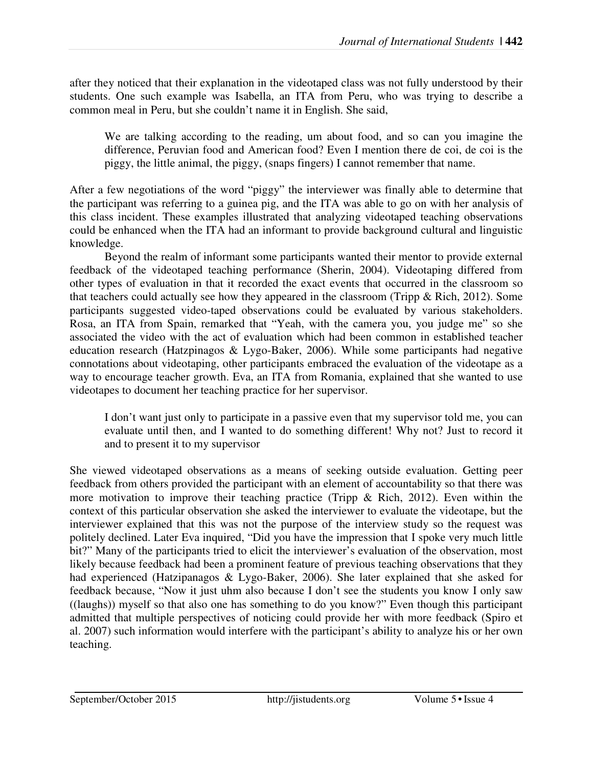after they noticed that their explanation in the videotaped class was not fully understood by their students. One such example was Isabella, an ITA from Peru, who was trying to describe a common meal in Peru, but she couldn't name it in English. She said,

We are talking according to the reading, um about food, and so can you imagine the difference, Peruvian food and American food? Even I mention there de coi, de coi is the piggy, the little animal, the piggy, (snaps fingers) I cannot remember that name.

After a few negotiations of the word "piggy" the interviewer was finally able to determine that the participant was referring to a guinea pig, and the ITA was able to go on with her analysis of this class incident. These examples illustrated that analyzing videotaped teaching observations could be enhanced when the ITA had an informant to provide background cultural and linguistic knowledge.

Beyond the realm of informant some participants wanted their mentor to provide external feedback of the videotaped teaching performance (Sherin, 2004). Videotaping differed from other types of evaluation in that it recorded the exact events that occurred in the classroom so that teachers could actually see how they appeared in the classroom (Tripp & Rich, 2012). Some participants suggested video-taped observations could be evaluated by various stakeholders. Rosa, an ITA from Spain, remarked that "Yeah, with the camera you, you judge me" so she associated the video with the act of evaluation which had been common in established teacher education research (Hatzpinagos & Lygo-Baker, 2006). While some participants had negative connotations about videotaping, other participants embraced the evaluation of the videotape as a way to encourage teacher growth. Eva, an ITA from Romania, explained that she wanted to use videotapes to document her teaching practice for her supervisor.

I don't want just only to participate in a passive even that my supervisor told me, you can evaluate until then, and I wanted to do something different! Why not? Just to record it and to present it to my supervisor

She viewed videotaped observations as a means of seeking outside evaluation. Getting peer feedback from others provided the participant with an element of accountability so that there was more motivation to improve their teaching practice (Tripp & Rich, 2012). Even within the context of this particular observation she asked the interviewer to evaluate the videotape, but the interviewer explained that this was not the purpose of the interview study so the request was politely declined. Later Eva inquired, "Did you have the impression that I spoke very much little bit?" Many of the participants tried to elicit the interviewer's evaluation of the observation, most likely because feedback had been a prominent feature of previous teaching observations that they had experienced (Hatzipanagos & Lygo-Baker, 2006). She later explained that she asked for feedback because, "Now it just uhm also because I don't see the students you know I only saw ((laughs)) myself so that also one has something to do you know?" Even though this participant admitted that multiple perspectives of noticing could provide her with more feedback (Spiro et al. 2007) such information would interfere with the participant's ability to analyze his or her own teaching.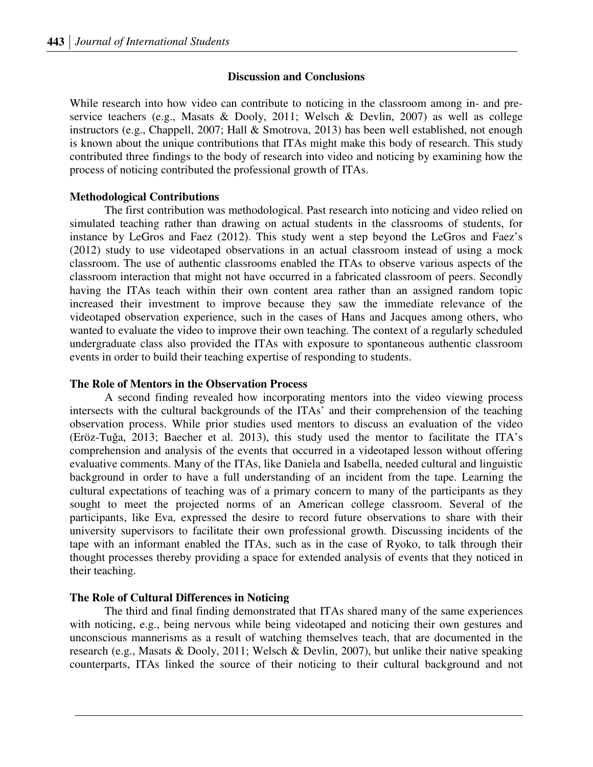### **Discussion and Conclusions**

While research into how video can contribute to noticing in the classroom among in- and preservice teachers (e.g., Masats & Dooly, 2011; Welsch & Devlin, 2007) as well as college instructors (e.g., Chappell, 2007; Hall & Smotrova, 2013) has been well established, not enough is known about the unique contributions that ITAs might make this body of research. This study contributed three findings to the body of research into video and noticing by examining how the process of noticing contributed the professional growth of ITAs.

### **Methodological Contributions**

The first contribution was methodological. Past research into noticing and video relied on simulated teaching rather than drawing on actual students in the classrooms of students, for instance by LeGros and Faez (2012). This study went a step beyond the LeGros and Faez's (2012) study to use videotaped observations in an actual classroom instead of using a mock classroom. The use of authentic classrooms enabled the ITAs to observe various aspects of the classroom interaction that might not have occurred in a fabricated classroom of peers. Secondly having the ITAs teach within their own content area rather than an assigned random topic increased their investment to improve because they saw the immediate relevance of the videotaped observation experience, such in the cases of Hans and Jacques among others, who wanted to evaluate the video to improve their own teaching. The context of a regularly scheduled undergraduate class also provided the ITAs with exposure to spontaneous authentic classroom events in order to build their teaching expertise of responding to students.

#### **The Role of Mentors in the Observation Process**

A second finding revealed how incorporating mentors into the video viewing process intersects with the cultural backgrounds of the ITAs' and their comprehension of the teaching observation process. While prior studies used mentors to discuss an evaluation of the video (Eröz-Tuğa, 2013; Baecher et al. 2013), this study used the mentor to facilitate the ITA's comprehension and analysis of the events that occurred in a videotaped lesson without offering evaluative comments. Many of the ITAs, like Daniela and Isabella, needed cultural and linguistic background in order to have a full understanding of an incident from the tape. Learning the cultural expectations of teaching was of a primary concern to many of the participants as they sought to meet the projected norms of an American college classroom. Several of the participants, like Eva, expressed the desire to record future observations to share with their university supervisors to facilitate their own professional growth. Discussing incidents of the tape with an informant enabled the ITAs, such as in the case of Ryoko, to talk through their thought processes thereby providing a space for extended analysis of events that they noticed in their teaching.

### **The Role of Cultural Differences in Noticing**

The third and final finding demonstrated that ITAs shared many of the same experiences with noticing, e.g., being nervous while being videotaped and noticing their own gestures and unconscious mannerisms as a result of watching themselves teach, that are documented in the research (e.g., Masats & Dooly, 2011; Welsch & Devlin, 2007), but unlike their native speaking counterparts, ITAs linked the source of their noticing to their cultural background and not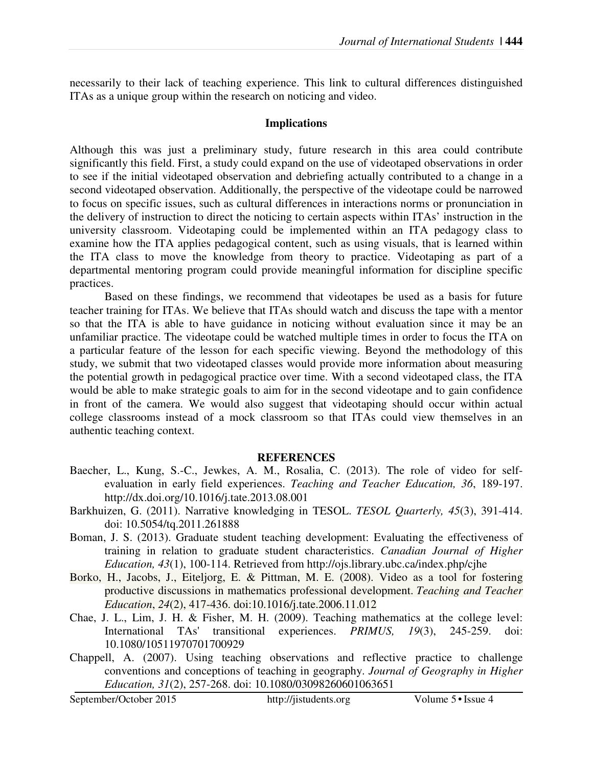necessarily to their lack of teaching experience. This link to cultural differences distinguished ITAs as a unique group within the research on noticing and video.

### **Implications**

Although this was just a preliminary study, future research in this area could contribute significantly this field. First, a study could expand on the use of videotaped observations in order to see if the initial videotaped observation and debriefing actually contributed to a change in a second videotaped observation. Additionally, the perspective of the videotape could be narrowed to focus on specific issues, such as cultural differences in interactions norms or pronunciation in the delivery of instruction to direct the noticing to certain aspects within ITAs' instruction in the university classroom. Videotaping could be implemented within an ITA pedagogy class to examine how the ITA applies pedagogical content, such as using visuals, that is learned within the ITA class to move the knowledge from theory to practice. Videotaping as part of a departmental mentoring program could provide meaningful information for discipline specific practices.

Based on these findings, we recommend that videotapes be used as a basis for future teacher training for ITAs. We believe that ITAs should watch and discuss the tape with a mentor so that the ITA is able to have guidance in noticing without evaluation since it may be an unfamiliar practice. The videotape could be watched multiple times in order to focus the ITA on a particular feature of the lesson for each specific viewing. Beyond the methodology of this study, we submit that two videotaped classes would provide more information about measuring the potential growth in pedagogical practice over time. With a second videotaped class, the ITA would be able to make strategic goals to aim for in the second videotape and to gain confidence in front of the camera. We would also suggest that videotaping should occur within actual college classrooms instead of a mock classroom so that ITAs could view themselves in an authentic teaching context.

### **REFERENCES**

- Baecher, L., Kung, S.-C., Jewkes, A. M., Rosalia, C. (2013). The role of video for selfevaluation in early field experiences. *Teaching and Teacher Education, 36*, 189-197. http://dx.doi.org/10.1016/j.tate.2013.08.001
- Barkhuizen, G. (2011). Narrative knowledging in TESOL. *TESOL Quarterly, 45*(3), 391-414. doi: 10.5054/tq.2011.261888
- Boman, J. S. (2013). Graduate student teaching development: Evaluating the effectiveness of training in relation to graduate student characteristics. *Canadian Journal of Higher Education, 43*(1), 100-114. Retrieved from http://ojs.library.ubc.ca/index.php/cjhe
- Borko, H., Jacobs, J., Eiteljorg, E. & Pittman, M. E. (2008). Video as a tool for fostering productive discussions in mathematics professional development. *Teaching and Teacher Education*, *24*(2), 417-436. doi:10.1016/j.tate.2006.11.012
- Chae, J. L., Lim, J. H. & Fisher, M. H. (2009). Teaching mathematics at the college level: International TAs' transitional experiences. *PRIMUS, 19*(3), 245-259. doi: 10.1080/10511970701700929
- Chappell, A. (2007). Using teaching observations and reflective practice to challenge conventions and conceptions of teaching in geography. *Journal of Geography in Higher Education, 31*(2), 257-268. doi: 10.1080/03098260601063651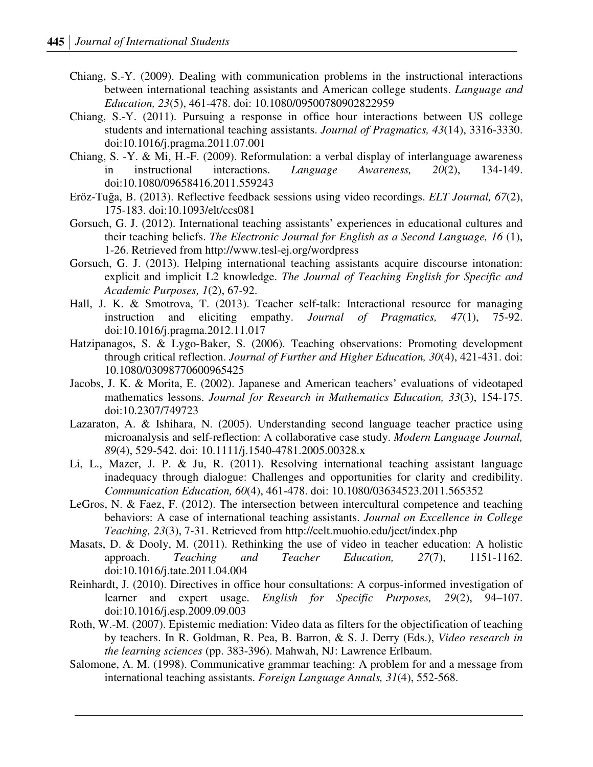- Chiang, S.-Y. (2009). Dealing with communication problems in the instructional interactions between international teaching assistants and American college students. *Language and Education, 23*(5), 461-478. doi: 10.1080/09500780902822959
- Chiang, S.-Y. (2011). Pursuing a response in office hour interactions between US college students and international teaching assistants. *Journal of Pragmatics, 43*(14), 3316-3330. doi:10.1016/j.pragma.2011.07.001
- Chiang, S. -Y. & Mi, H.-F. (2009). Reformulation: a verbal display of interlanguage awareness in instructional interactions. *Language Awareness, 20*(2), 134-149. doi:10.1080/09658416.2011.559243
- Eröz-Tuğa, B. (2013). Reflective feedback sessions using video recordings. *ELT Journal, 67*(2), 175-183. doi:10.1093/elt/ccs081
- Gorsuch, G. J. (2012). International teaching assistants' experiences in educational cultures and their teaching beliefs. *The Electronic Journal for English as a Second Language, 16* (1), 1-26. Retrieved from http://www.tesl-ej.org/wordpress
- Gorsuch, G. J. (2013). Helping international teaching assistants acquire discourse intonation: explicit and implicit L2 knowledge. *The Journal of Teaching English for Specific and Academic Purposes, 1*(2), 67-92.
- Hall, J. K. & Smotrova, T. (2013). Teacher self-talk: Interactional resource for managing instruction and eliciting empathy. *Journal of Pragmatics, 47*(1), 75-92. doi:10.1016/j.pragma.2012.11.017
- Hatzipanagos, S. & Lygo-Baker, S. (2006). Teaching observations: Promoting development through critical reflection. *Journal of Further and Higher Education, 30*(4), 421-431. doi: 10.1080/03098770600965425
- Jacobs, J. K. & Morita, E. (2002). Japanese and American teachers' evaluations of videotaped mathematics lessons. *Journal for Research in Mathematics Education, 33*(3), 154-175. doi:10.2307/749723
- Lazaraton, A. & Ishihara, N. (2005). Understanding second language teacher practice using microanalysis and self-reflection: A collaborative case study. *Modern Language Journal, 89*(4), 529-542. doi: 10.1111/j.1540-4781.2005.00328.x
- Li, L., Mazer, J. P. & Ju, R. (2011). Resolving international teaching assistant language inadequacy through dialogue: Challenges and opportunities for clarity and credibility. *Communication Education, 60*(4), 461-478. doi: 10.1080/03634523.2011.565352
- LeGros, N. & Faez, F. (2012). The intersection between intercultural competence and teaching behaviors: A case of international teaching assistants. *Journal on Excellence in College Teaching, 23*(3), 7-31. Retrieved from http://celt.muohio.edu/ject/index.php
- Masats, D. & Dooly, M. (2011). Rethinking the use of video in teacher education: A holistic approach. *Teaching and Teacher Education, 27*(7), 1151-1162. doi:10.1016/j.tate.2011.04.004
- Reinhardt, J. (2010). Directives in office hour consultations: A corpus-informed investigation of learner and expert usage. *English for Specific Purposes, 29*(2), 94–107. doi:10.1016/j.esp.2009.09.003
- Roth, W.-M. (2007). Epistemic mediation: Video data as filters for the objectification of teaching by teachers. In R. Goldman, R. Pea, B. Barron, & S. J. Derry (Eds.), *Video research in the learning sciences* (pp. 383-396). Mahwah, NJ: Lawrence Erlbaum.
- Salomone, A. M. (1998). Communicative grammar teaching: A problem for and a message from international teaching assistants. *Foreign Language Annals, 31*(4), 552-568.